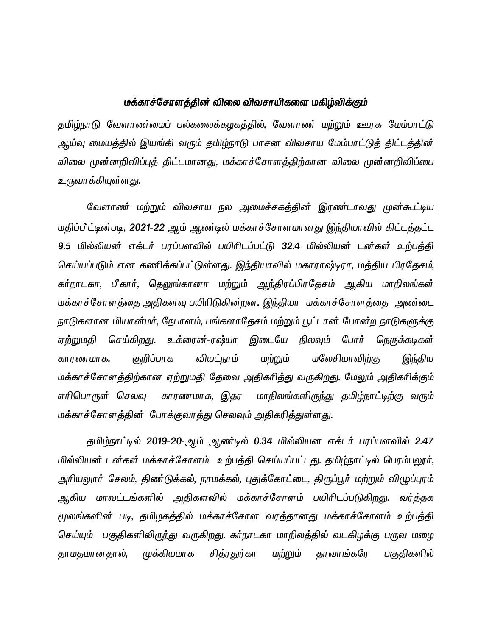## மக்காச்சோளத்தின் விலை விவசாயிகளை மகிழ்விக்கும்

தமிழ்நாடு வேளாண்மைப் பல்கலைக்கழகத்தில், வேளாண் மற்றும் ஊரக மேம்பாட்டு ஆய்வு மையத்தில் இயங்கி வரும் தமிழ்நாடு பாசன விவசாய மேம்பாட்டுத் திட்டத்தின் விலை முன்னறிவிப்புத் திட்டமானது, மக்காச்சோளத்திற்கான விலை முன்னறிவிப்பை உருவாக்கியுள்ள<u>த</u>ு.

வேளாண் மற்றும் விவசாய நல அமைச்சகத்தின் இரண்டாவது முன்கூட்டிய மதிப்பீட்டின்படி, 2021-22 ஆம் ஆண்டில் மக்காச்சோளமானது இந்தியாவில் கிட்டத்தட்ட 9.5 மில்லியன் எக்டர் பரப்பளவில் பயிரிடப்பட்டு 32.4 மில்லியன் டன்கள் உற்பத்தி செய்யப்படும் என கணிக்கப்பட்டுள்ளது. இந்தியாவில் மகாராஷ்டிரா, மத்திய பிரதேசம், கர்நாடகா, பீகார், தெலுங்கானா மற்றும் ஆந்திரப்பிரதேசம் ஆகிய மாநிலங்கள் மக்காச்சோளத்தை அதிகளவு பயிரிடுகின்றன. இந்தியா மக்காச்சோளத்தை அண்டை நாடுகளான மியான்மர், நேபாளம், பங்களாதேசம் மற்றும் பூட்டான் போன்ற நாடுகளுக்கு ஏற்றுமதி செய்கிறது. உக்ரைன்-ரஷ்யா இடையே நிலவும் போர் நெருக்கடிகள் காரணமாக, குறிப்பாக வியட்நாம் மற்றும் மலேசியாவிற்கு இந்திய மக்காச்சோளத்திற்கான ஏற்றுமதி தேவை அதிகரித்து வருகிறது. மேலும் அதிகரிக்கும் எரிபொருள் செலவு காரணமாக, இதர மாநிலங்களிருந்து தமிழ்நாட்டிற்கு வரும் மக்காச்சோளத்தின் போக்குவரத்து செலவும் அதிகரித்துள்ளது.

தமிழ்நாட்டில் 2019-20-ஆம் ஆண்டில் 0.34 மில்லியன எக்டர் பரப்பளவில் 2.47 மில்லியன் டன்கள் மக்காச்சோளம் உற்பத்தி செய்யப்பட்டது. தமிழ்நாட்டில் பெரம்பலூர், அரியலுார் சேலம், திண்டுக்கல், நாமக்கல், புதுக்கோட்டை, திருப்பூர் மற்றும் விழுப்புரம் ஆகிய மாவட்டங்களில் அதிகளவில் மக்காச்சோளம் பயிரிடப்படுகிறது. வர்த்தக மூலங்களின் படி, தமிழகத்தில் மக்காச்சோள வரத்தானது மக்காச்சோளம் உற்பத்தி செய்யும் பகுதிகளிலிருந்து வருகிறது. கா்நாடகா மாநிலத்தில் வடகிழக்கு பருவ மழை தாமதமானதால், முக்கியமாக சித்ரதுர்கா மற்றும் தாவாங்கரே பகுதிகளில்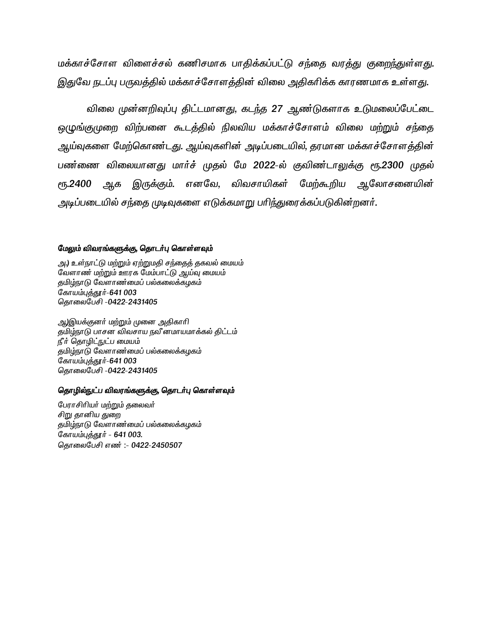மக்காச்சோள விளைச்சல் கணிசமாக பாதிக்கப்பட்டு சந்தை வரத்து குறைந்துள்ளது. இதுவே நடப்பு பருவத்தில் மக்காச்சோளத்தின் விலை அதிகரிக்க காரணமாக உள்ளது.

விலை முன்னறிவுப்பு திட்டமானது, கடந்த 27 ஆண்டுகளாக உடுமலைப்பேட்டை ஒழுங்குமுறை விற்பனை கூடத்தில் நிலவிய மக்காச்சோளம் விலை மற்றும் சந்தை ஆய்வுகளை மேற்கொண்டது. ஆய்வுகளின் அடிப்படையில், தரமான மக்காச்சோளத்தின் பண்ணை விலையானது மார்ச் முதல் மே 2022-ல் குவிண்டாலுக்கு ரூ.2300 முதல் **е** 5.2400 ஆக இருக்கும். எனவே, விவசாயிகள் மேற்கூறிய ஆலோசனையின் அடிப்படையில் சந்தை முடிவுகளை எடுக்கமாறு பரிந்துரைக்கப்படுகின்றனர்.

### மேலும் விவரங்களுக்கு, தொடர்பு கொள்ளவும்

அ.) உள்நாட்டு மற்றும் ஏற்றுமதி சந்தைத் தகவல் மையம் வேளாண் மற்றும் ஊரக மேம்பாட்டு ஆய்வு மையம் தமிழ்நாடு வேளாண்மைப் பல்கலைக்கழகம் கோயம்புத்தூர்-641 003 தொலைபேசி -0422-2431405

ஆ)இயக்குனர் மற்றும் முனை அதிகாரி தமிழ்நாடு பாசன விவசாய நவீ னமாயமாக்கல் திட்டம் நீர் தொழிட்நுட்ப மையம் தமிழ்நாடு வேளாண்மைப் பல்கலைக்கழகம் கோயம்புத்தூர்-641 003 தொலைபேசி -0422-2431405

#### தொழில்நுட்ப விவரங்களுக்கு, தொடர்பு கொள்ளவும்

பேராசிரியர் மற்றும் தலைவர் சிறு தானிய துறை தமிழ்நாடு வேளாண்மைப் பல்கலைக்கழகம் கோயம்புத்தூர் - 641 003. தொலைபேசி எண்: - 0422-2450507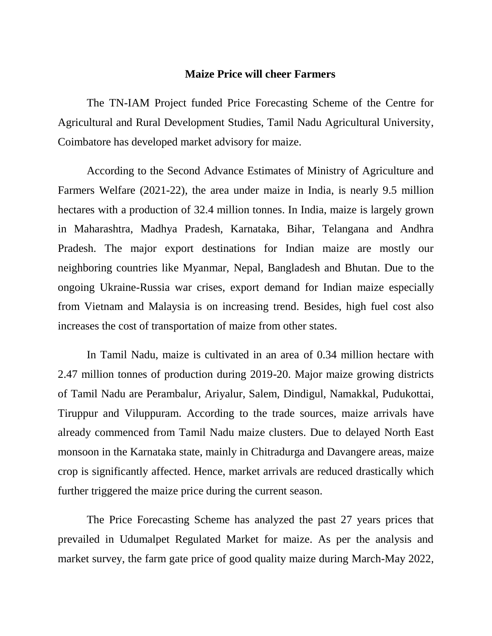# **Maize Price will cheer Farmers**

The TN-IAM Project funded Price Forecasting Scheme of the Centre for Agricultural and Rural Development Studies, Tamil Nadu Agricultural University, Coimbatore has developed market advisory for maize.

According to the Second Advance Estimates of Ministry of Agriculture and Farmers Welfare (2021-22), the area under maize in India, is nearly 9.5 million hectares with a production of 32.4 million tonnes. In India, maize is largely grown in Maharashtra, Madhya Pradesh, Karnataka, Bihar, Telangana and Andhra Pradesh. The major export destinations for Indian maize are mostly our neighboring countries like Myanmar, Nepal, Bangladesh and Bhutan. Due to the ongoing Ukraine-Russia war crises, export demand for Indian maize especially from Vietnam and Malaysia is on increasing trend. Besides, high fuel cost also increases the cost of transportation of maize from other states.

In Tamil Nadu, maize is cultivated in an area of 0.34 million hectare with 2.47 million tonnes of production during 2019-20. Major maize growing districts of Tamil Nadu are Perambalur, Ariyalur, Salem, Dindigul, Namakkal, Pudukottai, Tiruppur and Viluppuram. According to the trade sources, maize arrivals have already commenced from Tamil Nadu maize clusters. Due to delayed North East monsoon in the Karnataka state, mainly in Chitradurga and Davangere areas, maize crop is significantly affected. Hence, market arrivals are reduced drastically which further triggered the maize price during the current season.

The Price Forecasting Scheme has analyzed the past 27 years prices that prevailed in Udumalpet Regulated Market for maize. As per the analysis and market survey, the farm gate price of good quality maize during March-May 2022,